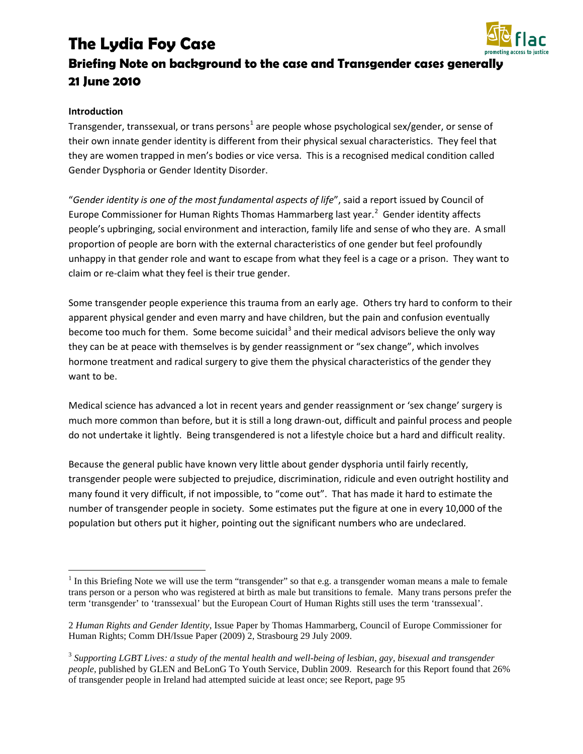# **The Lydia Foy Case**



# **Briefing Note on background to the case and Transgender cases generally 21 June 2010**

#### **Introduction**

Transgender, transsexual, or trans persons<sup>[1](#page-0-0)</sup> are people whose psychological sex/gender, or sense of their own innate gender identity is different from their physical sexual characteristics. They feel that they are women trapped in men's bodies or vice versa. This is a recognised medical condition called Gender Dysphoria or Gender Identity Disorder.

"*Gender identity is one of the most fundamental aspects of life*", said a report issued by Council of Europe Commissioner for Human Rights Thomas Hammarberg last year. $^2$  $^2$  Gender identity affects people's upbringing, social environment and interaction, family life and sense of who they are. A small proportion of people are born with the external characteristics of one gender but feel profoundly unhappy in that gender role and want to escape from what they feel is a cage or a prison. They want to claim or re-claim what they feel is their true gender.

Some transgender people experience this trauma from an early age. Others try hard to conform to their apparent physical gender and even marry and have children, but the pain and confusion eventually become too much for them. Some become suicidal<sup>[3](#page-0-2)</sup> and their medical advisors believe the only way they can be at peace with themselves is by gender reassignment or "sex change", which involves hormone treatment and radical surgery to give them the physical characteristics of the gender they want to be.

Medical science has advanced a lot in recent years and gender reassignment or 'sex change' surgery is much more common than before, but it is still a long drawn-out, difficult and painful process and people do not undertake it lightly. Being transgendered is not a lifestyle choice but a hard and difficult reality.

Because the general public have known very little about gender dysphoria until fairly recently, transgender people were subjected to prejudice, discrimination, ridicule and even outright hostility and many found it very difficult, if not impossible, to "come out". That has made it hard to estimate the number of transgender people in society. Some estimates put the figure at one in every 10,000 of the population but others put it higher, pointing out the significant numbers who are undeclared.

<span id="page-0-0"></span> $1$  In this Briefing Note we will use the term "transgender" so that e.g. a transgender woman means a male to female trans person or a person who was registered at birth as male but transitions to female. Many trans persons prefer the term 'transgender' to 'transsexual' but the European Court of Human Rights still uses the term 'transsexual'.

<sup>2</sup> *Human Rights and Gender Identity*, Issue Paper by Thomas Hammarberg, Council of Europe Commissioner for Human Rights; Comm DH/Issue Paper (2009) 2, Strasbourg 29 July 2009.

<span id="page-0-2"></span><span id="page-0-1"></span><sup>3</sup> *Supporting LGBT Lives: a study of the mental health and well-being of lesbian, gay, bisexual and transgender people,* published by GLEN and BeLonG To Youth Service, Dublin 2009. Research for this Report found that 26% of transgender people in Ireland had attempted suicide at least once; see Report, page 95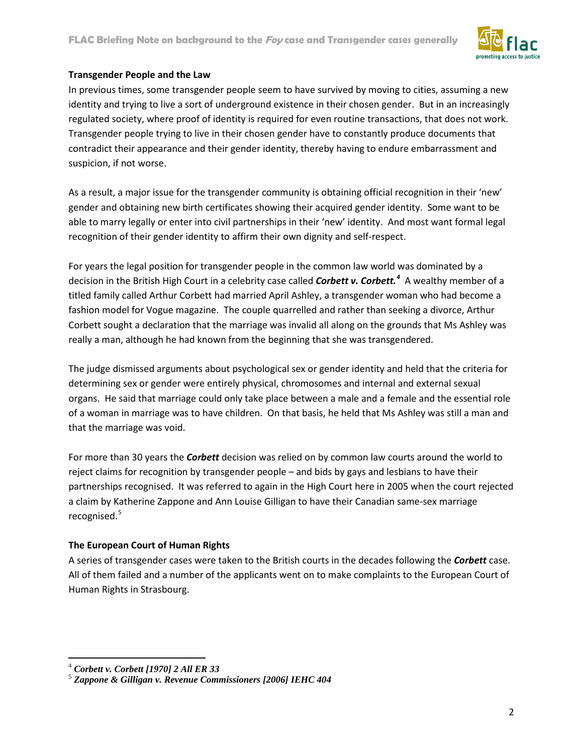

#### **Transgender People and the Law**

In previous times, some transgender people seem to have survived by moving to cities, assuming a new identity and trying to live a sort of underground existence in their chosen gender. But in an increasingly regulated society, where proof of identity is required for even routine transactions, that does not work. Transgender people trying to live in their chosen gender have to constantly produce documents that contradict their appearance and their gender identity, thereby having to endure embarrassment and suspicion, if not worse.

As a result, a major issue for the transgender community is obtaining official recognition in their 'new' gender and obtaining new birth certificates showing their acquired gender identity. Some want to be able to marry legally or enter into civil partnerships in their 'new' identity. And most want formal legal recognition of their gender identity to affirm their own dignity and self-respect.

For years the legal position for transgender people in the common law world was dominated by a decision in the British High Court in a celebrity case called *Corbett v. Corbett. [4](#page-1-0)* A wealthy member of a titled family called Arthur Corbett had married April Ashley, a transgender woman who had become a fashion model for Vogue magazine. The couple quarrelled and rather than seeking a divorce, Arthur Corbett sought a declaration that the marriage was invalid all along on the grounds that Ms Ashley was really a man, although he had known from the beginning that she was transgendered.

The judge dismissed arguments about psychological sex or gender identity and held that the criteria for determining sex or gender were entirely physical, chromosomes and internal and external sexual organs. He said that marriage could only take place between a male and a female and the essential role of a woman in marriage was to have children. On that basis, he held that Ms Ashley was still a man and that the marriage was void.

For more than 30 years the *Corbett* decision was relied on by common law courts around the world to reject claims for recognition by transgender people – and bids by gays and lesbians to have their partnerships recognised. It was referred to again in the High Court here in 2005 when the court rejected a claim by Katherine Zappone and Ann Louise Gilligan to have their Canadian same-sex marriage recognised. [5](#page-1-1)

# **The European Court of Human Rights**

A series of transgender cases were taken to the British courts in the decades following the *Corbett* case. All of them failed and a number of the applicants went on to make complaints to the European Court of Human Rights in Strasbourg.

<span id="page-1-0"></span> <sup>4</sup> *Corbett v. Corbett [1970] 2 All ER 33*

<span id="page-1-1"></span><sup>5</sup> *Zappone & Gilligan v. Revenue Commissioners [2006] IEHC 404*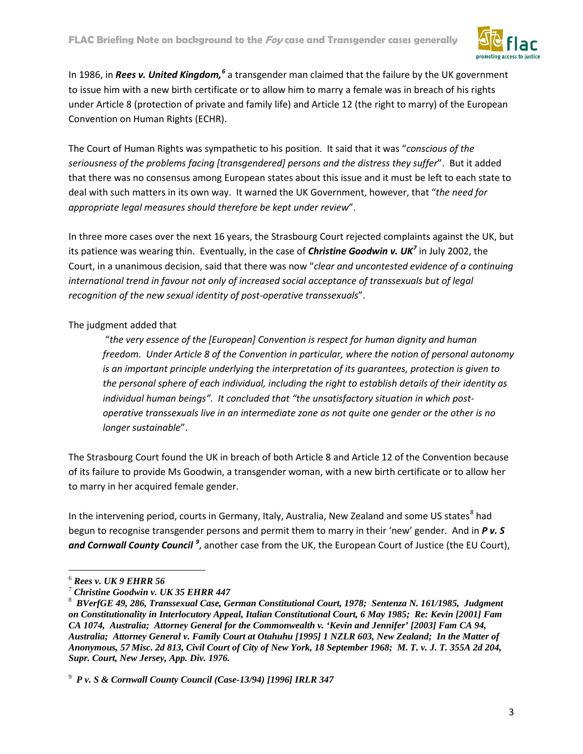

In 198[6](#page-2-0), in *Rees v. United Kingdom,<sup>6</sup>* a transgender man claimed that the failure by the UK government to issue him with a new birth certificate or to allow him to marry a female was in breach of his rights under Article 8 (protection of private and family life) and Article 12 (the right to marry) of the European Convention on Human Rights (ECHR).

The Court of Human Rights was sympathetic to his position. It said that it was "*conscious of the seriousness of the problems facing [transgendered] persons and the distress they suffer*". But it added that there was no consensus among European states about this issue and it must be left to each state to deal with such matters in its own way. It warned the UK Government, however, that "*the need for appropriate legal measures should therefore be kept under review*".

In three more cases over the next 16 years, the Strasbourg Court rejected complaints against the UK, but its patience was wearing thin. Eventually, in the case of *Christine Goodwin v. UK[7](#page-2-1)* in July 2002, the Court, in a unanimous decision, said that there was now "*clear and uncontested evidence of a continuing*  international trend in favour not only of increased social acceptance of transsexuals but of legal *recognition of the new sexual identity of post-operative transsexuals*".

# The judgment added that

"*the very essence of the [European] Convention is respect for human dignity and human freedom. Under Article 8 of the Convention in particular, where the notion of personal autonomy is an important principle underlying the interpretation of its guarantees, protection is given to the personal sphere of each individual, including the right to establish details of their identity as individual human beings". It concluded that "the unsatisfactory situation in which postoperative transsexuals live in an intermediate zone as not quite one gender or the other is no longer sustainable*".

The Strasbourg Court found the UK in breach of both Article 8 and Article 12 of the Convention because of its failure to provide Ms Goodwin, a transgender woman, with a new birth certificate or to allow her to marry in her acquired female gender.

In the intervening period, courts in Germany, Italy, Australia, New Zealand and some US states<sup>[8](#page-2-2)</sup> had begun to recognise transgender persons and permit them to marry in their 'new' gender. And in *P v. S*  and Cornwall County Council<sup>[9](#page-2-3)</sup>, another case from the UK, the European Court of Justice (the EU Court),

<span id="page-2-0"></span> <sup>6</sup> *Rees v. UK 9 EHRR 56*

<sup>7</sup> *Christine Goodwin v. UK 35 EHRR 447*

<span id="page-2-2"></span><span id="page-2-1"></span><sup>8</sup> *BVerfGE 49, 286, Transsexual Case, German Constitutional Court, 1978; Sentenza N. 161/1985, Judgment on Constitutionality in Interlocutory Appeal, Italian Constitutional Court, 6 May 1985; Re: Kevin [2001] Fam CA 1074, Australia; Attorney General for the Commonwealth v. 'Kevin and Jennifer' [2003] Fam CA 94, Australia; Attorney General v. Family Court at Otahuhu [1995] 1 NZLR 603, New Zealand; In the Matter of Anonymous, 57 Misc. 2d 813, Civil Court of City of New York, 18 September 1968; M. T. v. J. T. 355A 2d 204, Supr. Court, New Jersey, App. Div. 1976.*

<span id="page-2-3"></span><sup>9</sup> *P v. S & Cornwall County Council (Case-13/94) [1996] IRLR 347*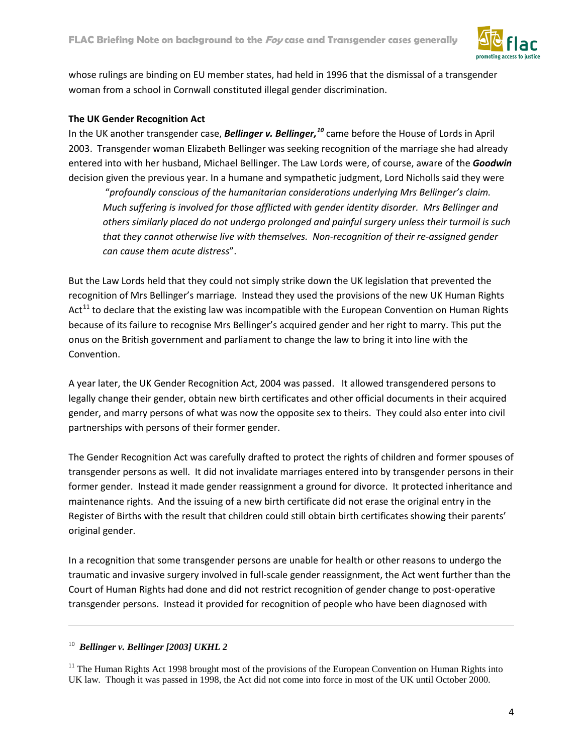

whose rulings are binding on EU member states, had held in 1996 that the dismissal of a transgender woman from a school in Cornwall constituted illegal gender discrimination.

#### **The UK Gender Recognition Act**

In the UK another transgender case, *Bellinger v. Bellinger, [10](#page-3-0)* came before the House of Lords in April 2003. Transgender woman Elizabeth Bellinger was seeking recognition of the marriage she had already entered into with her husband, Michael Bellinger. The Law Lords were, of course, aware of the *Goodwin*  decision given the previous year. In a humane and sympathetic judgment, Lord Nicholls said they were

"*profoundly conscious of the humanitarian considerations underlying Mrs Bellinger's claim. Much suffering is involved for those afflicted with gender identity disorder. Mrs Bellinger and others similarly placed do not undergo prolonged and painful surgery unless their turmoil is such that they cannot otherwise live with themselves. Non-recognition of their re-assigned gender can cause them acute distress*".

But the Law Lords held that they could not simply strike down the UK legislation that prevented the recognition of Mrs Bellinger's marriage. Instead they used the provisions of the new UK Human Rights Act<sup>[11](#page-3-1)</sup> to declare that the existing law was incompatible with the European Convention on Human Rights because of its failure to recognise Mrs Bellinger's acquired gender and her right to marry. This put the onus on the British government and parliament to change the law to bring it into line with the Convention.

A year later, the UK Gender Recognition Act, 2004 was passed. It allowed transgendered persons to legally change their gender, obtain new birth certificates and other official documents in their acquired gender, and marry persons of what was now the opposite sex to theirs. They could also enter into civil partnerships with persons of their former gender.

The Gender Recognition Act was carefully drafted to protect the rights of children and former spouses of transgender persons as well. It did not invalidate marriages entered into by transgender persons in their former gender. Instead it made gender reassignment a ground for divorce. It protected inheritance and maintenance rights. And the issuing of a new birth certificate did not erase the original entry in the Register of Births with the result that children could still obtain birth certificates showing their parents' original gender.

In a recognition that some transgender persons are unable for health or other reasons to undergo the traumatic and invasive surgery involved in full-scale gender reassignment, the Act went further than the Court of Human Rights had done and did not restrict recognition of gender change to post-operative transgender persons. Instead it provided for recognition of people who have been diagnosed with

<span id="page-3-0"></span>10 *Bellinger v. Bellinger [2003] UKHL 2*

 $\overline{a}$ 

<span id="page-3-1"></span> $11$  The Human Rights Act 1998 brought most of the provisions of the European Convention on Human Rights into UK law. Though it was passed in 1998, the Act did not come into force in most of the UK until October 2000.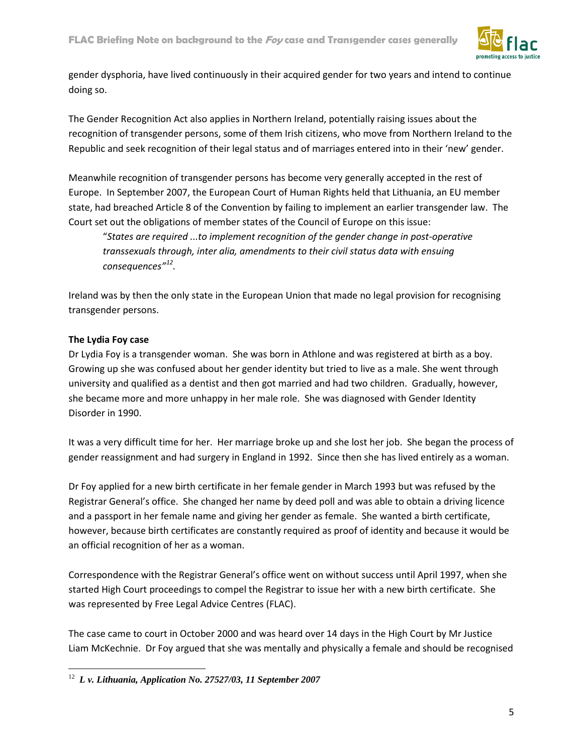

gender dysphoria, have lived continuously in their acquired gender for two years and intend to continue doing so.

The Gender Recognition Act also applies in Northern Ireland, potentially raising issues about the recognition of transgender persons, some of them Irish citizens, who move from Northern Ireland to the Republic and seek recognition of their legal status and of marriages entered into in their 'new' gender.

Meanwhile recognition of transgender persons has become very generally accepted in the rest of Europe. In September 2007, the European Court of Human Rights held that Lithuania, an EU member state, had breached Article 8 of the Convention by failing to implement an earlier transgender law. The Court set out the obligations of member states of the Council of Europe on this issue:

"*States are required ...to implement recognition of the gender change in post-operative transsexuals through, inter alia, amendments to their civil status data with ensuing consequences"[12.](#page-4-0)*

Ireland was by then the only state in the European Union that made no legal provision for recognising transgender persons.

#### **The Lydia Foy case**

Dr Lydia Foy is a transgender woman. She was born in Athlone and was registered at birth as a boy. Growing up she was confused about her gender identity but tried to live as a male. She went through university and qualified as a dentist and then got married and had two children. Gradually, however, she became more and more unhappy in her male role. She was diagnosed with Gender Identity Disorder in 1990.

It was a very difficult time for her. Her marriage broke up and she lost her job. She began the process of gender reassignment and had surgery in England in 1992. Since then she has lived entirely as a woman.

Dr Foy applied for a new birth certificate in her female gender in March 1993 but was refused by the Registrar General's office. She changed her name by deed poll and was able to obtain a driving licence and a passport in her female name and giving her gender as female. She wanted a birth certificate, however, because birth certificates are constantly required as proof of identity and because it would be an official recognition of her as a woman.

Correspondence with the Registrar General's office went on without success until April 1997, when she started High Court proceedings to compel the Registrar to issue her with a new birth certificate. She was represented by Free Legal Advice Centres (FLAC).

The case came to court in October 2000 and was heard over 14 days in the High Court by Mr Justice Liam McKechnie. Dr Foy argued that she was mentally and physically a female and should be recognised

<span id="page-4-0"></span> <sup>12</sup> *L v. Lithuania, Application No. 27527/03, 11 September 2007*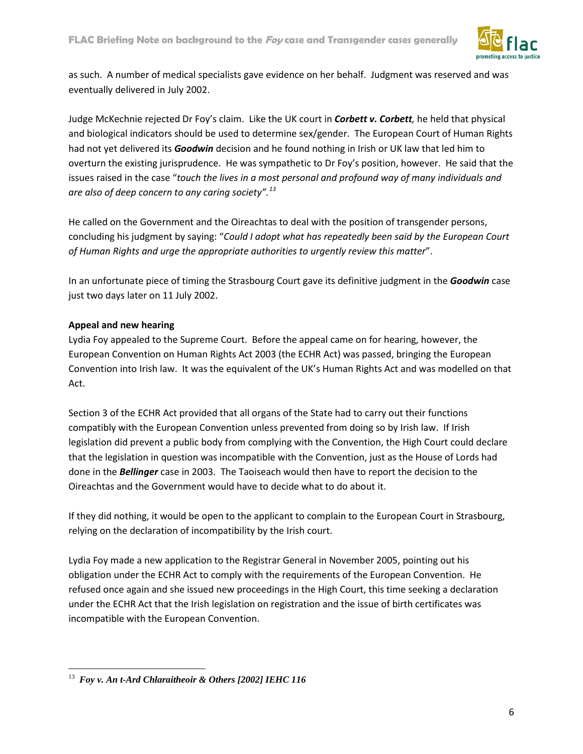

as such. A number of medical specialists gave evidence on her behalf. Judgment was reserved and was eventually delivered in July 2002.

Judge McKechnie rejected Dr Foy's claim. Like the UK court in *Corbett v. Corbett,* he held that physical and biological indicators should be used to determine sex/gender. The European Court of Human Rights had not yet delivered its *Goodwin* decision and he found nothing in Irish or UK law that led him to overturn the existing jurisprudence. He was sympathetic to Dr Foy's position, however. He said that the issues raised in the case "*touch the lives in a most personal and profound way of many individuals and are also of deep concern to any caring society". [13](#page-5-0)*

He called on the Government and the Oireachtas to deal with the position of transgender persons, concluding his judgment by saying: "*Could I adopt what has repeatedly been said by the European Court of Human Rights and urge the appropriate authorities to urgently review this matter*".

In an unfortunate piece of timing the Strasbourg Court gave its definitive judgment in the *Goodwin* case just two days later on 11 July 2002.

#### **Appeal and new hearing**

Lydia Foy appealed to the Supreme Court. Before the appeal came on for hearing, however, the European Convention on Human Rights Act 2003 (the ECHR Act) was passed, bringing the European Convention into Irish law. It was the equivalent of the UK's Human Rights Act and was modelled on that Act.

Section 3 of the ECHR Act provided that all organs of the State had to carry out their functions compatibly with the European Convention unless prevented from doing so by Irish law. If Irish legislation did prevent a public body from complying with the Convention, the High Court could declare that the legislation in question was incompatible with the Convention, just as the House of Lords had done in the *Bellinger* case in 2003. The Taoiseach would then have to report the decision to the Oireachtas and the Government would have to decide what to do about it.

If they did nothing, it would be open to the applicant to complain to the European Court in Strasbourg, relying on the declaration of incompatibility by the Irish court.

Lydia Foy made a new application to the Registrar General in November 2005, pointing out his obligation under the ECHR Act to comply with the requirements of the European Convention. He refused once again and she issued new proceedings in the High Court, this time seeking a declaration under the ECHR Act that the Irish legislation on registration and the issue of birth certificates was incompatible with the European Convention.

<span id="page-5-0"></span> <sup>13</sup> *Foy v. An t-Ard Chlaraitheoir & Others [2002] IEHC 116*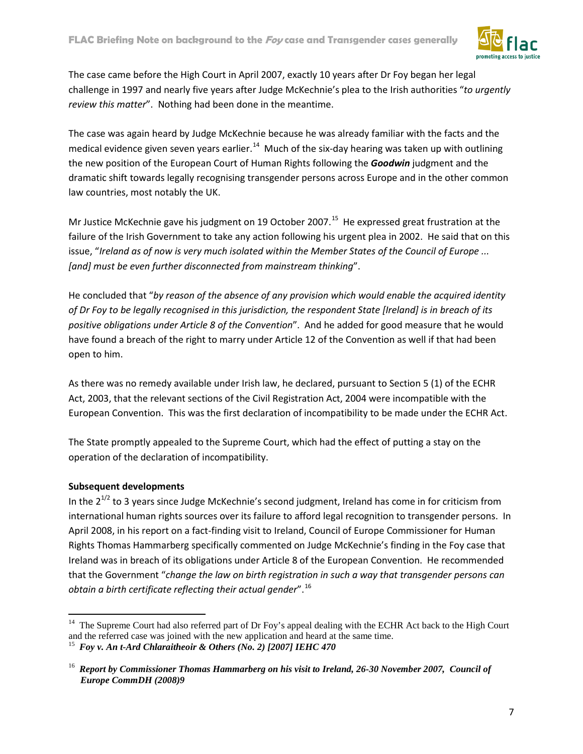

The case came before the High Court in April 2007, exactly 10 years after Dr Foy began her legal challenge in 1997 and nearly five years after Judge McKechnie's plea to the Irish authorities "*to urgently review this matter*". Nothing had been done in the meantime.

The case was again heard by Judge McKechnie because he was already familiar with the facts and the medical evidence given seven years earlier.<sup>[14](#page-6-0)</sup> Much of the six-day hearing was taken up with outlining the new position of the European Court of Human Rights following the *Goodwin* judgment and the dramatic shift towards legally recognising transgender persons across Europe and in the other common law countries, most notably the UK.

Mr Justice McKechnie gave his judgment on 19 October 2007.<sup>[15](#page-6-1)</sup> He expressed great frustration at the failure of the Irish Government to take any action following his urgent plea in 2002. He said that on this issue, "*Ireland as of now is very much isolated within the Member States of the Council of Europe ... [and] must be even further disconnected from mainstream thinking*".

He concluded that "*by reason of the absence of any provision which would enable the acquired identity of Dr Foy to be legally recognised in this jurisdiction, the respondent State [Ireland] is in breach of its positive obligations under Article 8 of the Convention*". And he added for good measure that he would have found a breach of the right to marry under Article 12 of the Convention as well if that had been open to him.

As there was no remedy available under Irish law, he declared, pursuant to Section 5 (1) of the ECHR Act, 2003, that the relevant sections of the Civil Registration Act, 2004 were incompatible with the European Convention. This was the first declaration of incompatibility to be made under the ECHR Act.

The State promptly appealed to the Supreme Court, which had the effect of putting a stay on the operation of the declaration of incompatibility.

# **Subsequent developments**

In the  $2^{1/2}$  to 3 years since Judge McKechnie's second judgment, Ireland has come in for criticism from international human rights sources over its failure to afford legal recognition to transgender persons. In April 2008, in his report on a fact-finding visit to Ireland, Council of Europe Commissioner for Human Rights Thomas Hammarberg specifically commented on Judge McKechnie's finding in the Foy case that Ireland was in breach of its obligations under Article 8 of the European Convention. He recommended that the Government "*change the law on birth registration in such a way that transgender persons can obtain a birth certificate reflecting their actual gender*". [16](#page-6-2)

<span id="page-6-0"></span><sup>&</sup>lt;sup>14</sup> The Supreme Court had also referred part of Dr Foy's appeal dealing with the ECHR Act back to the High Court and the referred case was joined with the new application and heard at the same time.

<span id="page-6-1"></span><sup>&</sup>lt;sup>15</sup> Foy v. An t-Ard Chlaraitheoir & Others (No. 2) [2007] IEHC 470

<span id="page-6-2"></span><sup>16</sup> *Report by Commissioner Thomas Hammarberg on his visit to Ireland, 26-30 November 2007, Council of Europe CommDH (2008)9*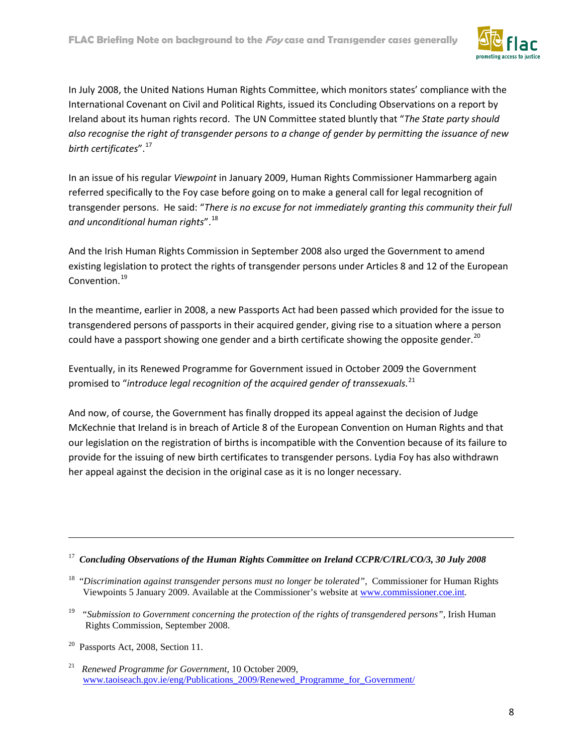

In July 2008, the United Nations Human Rights Committee, which monitors states' compliance with the International Covenant on Civil and Political Rights, issued its Concluding Observations on a report by Ireland about its human rights record. The UN Committee stated bluntly that "*The State party should also recognise the right of transgender persons to a change of gender by permitting the issuance of new birth certificates*". [17](#page-7-0)

In an issue of his regular *Viewpoint* in January 2009, Human Rights Commissioner Hammarberg again referred specifically to the Foy case before going on to make a general call for legal recognition of transgender persons. He said: "*There is no excuse for not immediately granting this community their full and unconditional human rights*". [18](#page-7-1)

And the Irish Human Rights Commission in September 2008 also urged the Government to amend existing legislation to protect the rights of transgender persons under Articles 8 and 12 of the European Convention. [19](#page-7-2)

In the meantime, earlier in 2008, a new Passports Act had been passed which provided for the issue to transgendered persons of passports in their acquired gender, giving rise to a situation where a person could have a passport showing one gender and a birth certificate showing the opposite gender.<sup>[20](#page-7-3)</sup>

Eventually, in its Renewed Programme for Government issued in October 2009 the Government promised to "*introduce legal recognition of the acquired gender of transsexuals.* [21](#page-7-4)

And now, of course, the Government has finally dropped its appeal against the decision of Judge McKechnie that Ireland is in breach of Article 8 of the European Convention on Human Rights and that our legislation on the registration of births is incompatible with the Convention because of its failure to provide for the issuing of new birth certificates to transgender persons. Lydia Foy has also withdrawn her appeal against the decision in the original case as it is no longer necessary.

<span id="page-7-2"></span><sup>19</sup> "Submission to Government concerning the protection of the rights of transgendered persons", Irish Human Rights Commission, September 2008.

 $\overline{a}$ 

<span id="page-7-0"></span><sup>17</sup> *Concluding Observations of the Human Rights Committee on Ireland CCPR/C/IRL/CO/3, 30 July 2008*

<span id="page-7-1"></span><sup>&</sup>lt;sup>18</sup> "Discrimination against transgender persons must no longer be tolerated", Commissioner for Human Rights Viewpoints 5 January 2009. Available at the Commissioner's website at [www.commissioner.coe.int](http://www.commissioner.coe.int/)*.*

<span id="page-7-3"></span> $20$  Passports Act, 2008, Section 11.

<span id="page-7-4"></span><sup>21</sup> *Renewed Programme for Government,* 10 October 2009, www.taoiseach.gov.ie/eng/Publications\_2009/Renewed\_Programme\_for\_Government/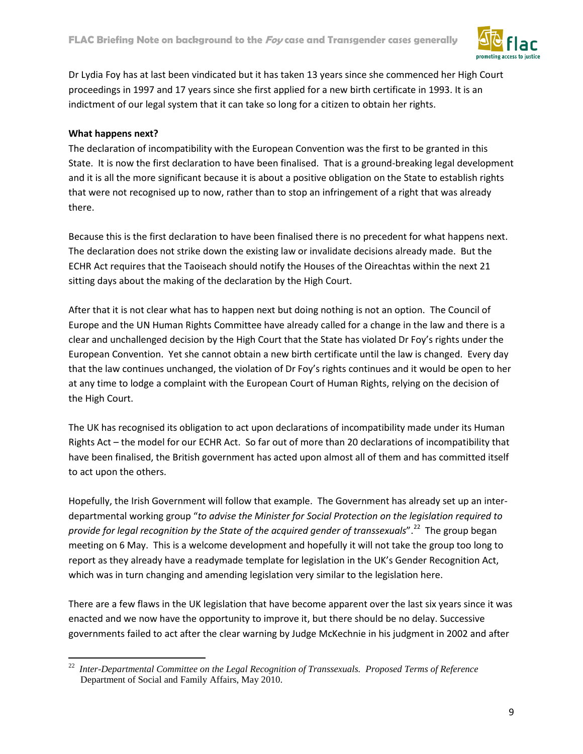

Dr Lydia Foy has at last been vindicated but it has taken 13 years since she commenced her High Court proceedings in 1997 and 17 years since she first applied for a new birth certificate in 1993. It is an indictment of our legal system that it can take so long for a citizen to obtain her rights.

# **What happens next?**

The declaration of incompatibility with the European Convention was the first to be granted in this State. It is now the first declaration to have been finalised. That is a ground-breaking legal development and it is all the more significant because it is about a positive obligation on the State to establish rights that were not recognised up to now, rather than to stop an infringement of a right that was already there.

Because this is the first declaration to have been finalised there is no precedent for what happens next. The declaration does not strike down the existing law or invalidate decisions already made. But the ECHR Act requires that the Taoiseach should notify the Houses of the Oireachtas within the next 21 sitting days about the making of the declaration by the High Court.

After that it is not clear what has to happen next but doing nothing is not an option. The Council of Europe and the UN Human Rights Committee have already called for a change in the law and there is a clear and unchallenged decision by the High Court that the State has violated Dr Foy's rights under the European Convention. Yet she cannot obtain a new birth certificate until the law is changed. Every day that the law continues unchanged, the violation of Dr Foy's rights continues and it would be open to her at any time to lodge a complaint with the European Court of Human Rights, relying on the decision of the High Court.

The UK has recognised its obligation to act upon declarations of incompatibility made under its Human Rights Act – the model for our ECHR Act. So far out of more than 20 declarations of incompatibility that have been finalised, the British government has acted upon almost all of them and has committed itself to act upon the others.

Hopefully, the Irish Government will follow that example. The Government has already set up an interdepartmental working group "*to advise the Minister for Social Protection on the legislation required to provide for legal recognition by the State of the acquired gender of transsexuals*". [22](#page-8-0) The group began meeting on 6 May. This is a welcome development and hopefully it will not take the group too long to report as they already have a readymade template for legislation in the UK's Gender Recognition Act, which was in turn changing and amending legislation very similar to the legislation here.

There are a few flaws in the UK legislation that have become apparent over the last six years since it was enacted and we now have the opportunity to improve it, but there should be no delay. Successive governments failed to act after the clear warning by Judge McKechnie in his judgment in 2002 and after

<span id="page-8-0"></span> <sup>22</sup> *Inter-Departmental Committee on the Legal Recognition of Transsexuals. Proposed Terms of Reference* Department of Social and Family Affairs, May 2010.